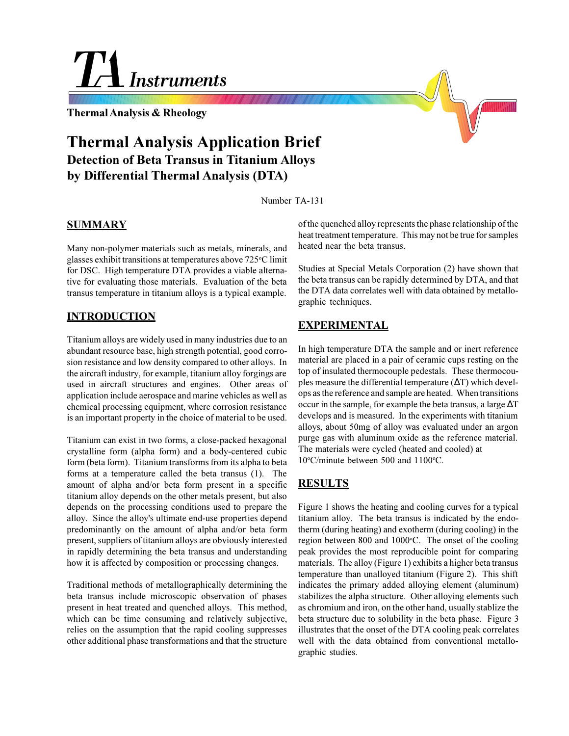Instruments

**Thermal Analysis & Rheology**

# **Thermal Analysis Application Brief Detection of Beta Transus in Titanium Alloys by Differential Thermal Analysis (DTA)**

Number TA-131

#### **SUMMARY**

Many non-polymer materials such as metals, minerals, and glasses exhibit transitions at temperatures above 725°C limit for DSC. High temperature DTA provides a viable alternative for evaluating those materials. Evaluation of the beta transus temperature in titanium alloys is a typical example.

#### **INTRODUCTION**

Titanium alloys are widely used in many industries due to an abundant resource base, high strength potential, good corrosion resistance and low density compared to other alloys. In the aircraft industry, for example, titanium alloy forgings are used in aircraft structures and engines. Other areas of application include aerospace and marine vehicles as well as chemical processing equipment, where corrosion resistance is an important property in the choice of material to be used.

Titanium can exist in two forms, a close-packed hexagonal crystalline form (alpha form) and a body-centered cubic form (beta form). Titanium transforms from its alpha to beta forms at a temperature called the beta transus (1). The amount of alpha and/or beta form present in a specific titanium alloy depends on the other metals present, but also depends on the processing conditions used to prepare the alloy. Since the alloy's ultimate end-use properties depend predominantly on the amount of alpha and/or beta form present, suppliers of titanium alloys are obviously interested in rapidly determining the beta transus and understanding how it is affected by composition or processing changes.

Traditional methods of metallographically determining the beta transus include microscopic observation of phases present in heat treated and quenched alloys. This method, which can be time consuming and relatively subjective, relies on the assumption that the rapid cooling suppresses other additional phase transformations and that the structure

of the quenched alloy represents the phase relationship of the heat treatment temperature. This may not be true for samples heated near the beta transus.

Studies at Special Metals Corporation (2) have shown that the beta transus can be rapidly determined by DTA, and that the DTA data correlates well with data obtained by metallographic techniques.

## **EXPERIMENTAL**

In high temperature DTA the sample and or inert reference material are placed in a pair of ceramic cups resting on the top of insulated thermocouple pedestals. These thermocouples measure the differential temperature (∆T) which develops as the reference and sample are heated. When transitions occur in the sample, for example the beta transus, a large ∆T develops and is measured. In the experiments with titanium alloys, about 50mg of alloy was evaluated under an argon purge gas with aluminum oxide as the reference material. The materials were cycled (heated and cooled) at 10°C/minute between 500 and 1100°C.

## **RESULTS**

Figure 1 shows the heating and cooling curves for a typical titanium alloy. The beta transus is indicated by the endotherm (during heating) and exotherm (during cooling) in the region between 800 and 1000°C. The onset of the cooling peak provides the most reproducible point for comparing materials. The alloy (Figure 1) exhibits a higher beta transus temperature than unalloyed titanium (Figure 2). This shift indicates the primary added alloying element (aluminum) stabilizes the alpha structure. Other alloying elements such as chromium and iron, on the other hand, usually stablize the beta structure due to solubility in the beta phase. Figure 3 illustrates that the onset of the DTA cooling peak correlates well with the data obtained from conventional metallographic studies.